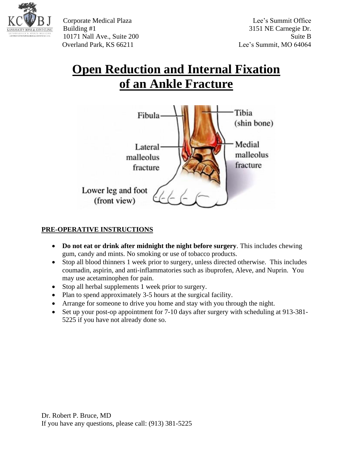

Corporate Medical Plaza Lee's Summit Office Building #1 3151 NE Carnegie Dr. 10171 Nall Ave., Suite 200 Suite B Overland Park, KS 66211 Lee's Summit, MO 64064

## **Open Reduction and Internal Fixation of an Ankle Fracture**



## **PRE-OPERATIVE INSTRUCTIONS**

- **Do not eat or drink after midnight the night before surgery**. This includes chewing gum, candy and mints. No smoking or use of tobacco products.
- Stop all blood thinners 1 week prior to surgery, unless directed otherwise. This includes coumadin, aspirin, and anti-inflammatories such as ibuprofen, Aleve, and Nuprin. You may use acetaminophen for pain.
- Stop all herbal supplements 1 week prior to surgery.
- Plan to spend approximately 3-5 hours at the surgical facility.
- Arrange for someone to drive you home and stay with you through the night.
- Set up your post-op appointment for 7-10 days after surgery with scheduling at 913-381-5225 if you have not already done so.